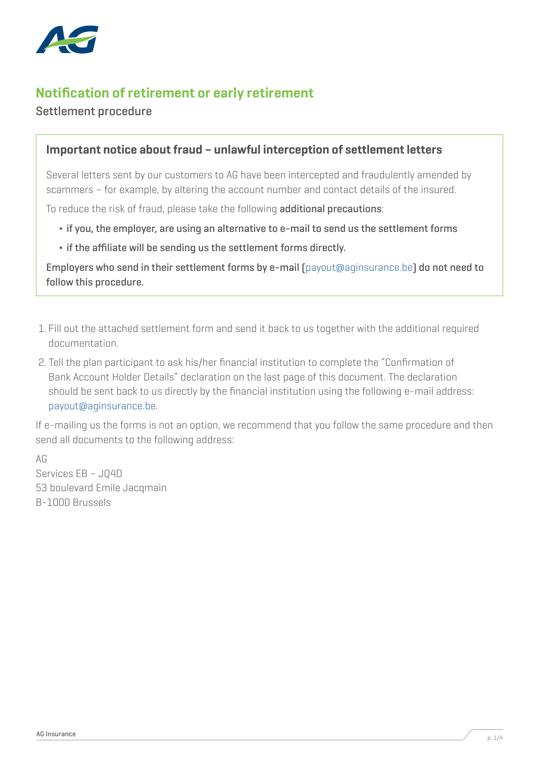

## **Notification of retirement or early retirement**

Settlement procedure

### **Important notice about fraud – unlawful interception of settlement letters**

Several letters sent by our customers to AG have been intercepted and fraudulently amended by scammers – for example, by altering the account number and contact details of the insured.

To reduce the risk of fraud, please take the following additional precautions:

- if you, the employer, are using an alternative to e-mail to send us the settlement forms
- if the affiliate will be sending us the settlement forms directly.

Employers who send in their settlement forms by e-mail (payout@aginsurance.be) do not need to follow this procedure.

- 1. Fill out the attached settlement form and send it back to us together with the additional required documentation.
- 2. Tell the plan participant to ask his/her financial institution to complete the "Confirmation of Bank Account Holder Details" declaration on the last page of this document. The declaration should be sent back to us directly by the financial institution using the following e-mail address: [payout@aginsurance.be](mailto:pensionatwork%40aginsurance.be?subject=).

If e-mailing us the forms is not an option, we recommend that you follow the same procedure and then send all documents to the following address:

AG Services EB – JQ4D 53 boulevard Emile Jacqmain B-1000 Brussels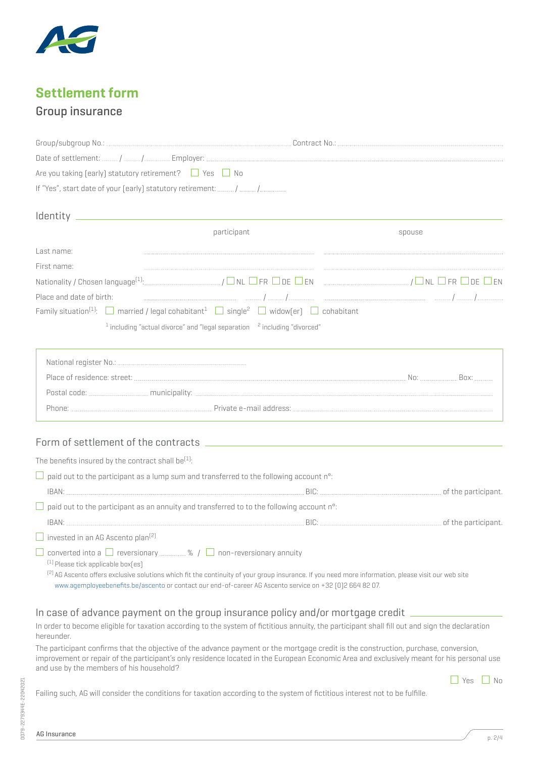

# **Settlement form**

## Group insurance

| Are you taking [early] statutory retirement? $\Box$ Yes $\Box$ No<br>participant<br>spouse<br>Last name:<br>First name:<br>Place and date of birth:<br>Family situation <sup>[1]</sup> : $\Box$ married / legal cohabitant <sup>1</sup> $\Box$ single <sup>2</sup> $\Box$ widow[er] $\Box$ cohabitant<br>$1$ including "actual divorce" and "legal separation $2$ including "divorced"<br>The benefits insured by the contract shall be $[1]$ .<br>$\Box$ paid out to the participant as a lump sum and transferred to the following account n°:<br>$\Box$ paid out to the participant as an annuity and transferred to to the following account n°: |
|------------------------------------------------------------------------------------------------------------------------------------------------------------------------------------------------------------------------------------------------------------------------------------------------------------------------------------------------------------------------------------------------------------------------------------------------------------------------------------------------------------------------------------------------------------------------------------------------------------------------------------------------------|
|                                                                                                                                                                                                                                                                                                                                                                                                                                                                                                                                                                                                                                                      |
|                                                                                                                                                                                                                                                                                                                                                                                                                                                                                                                                                                                                                                                      |
|                                                                                                                                                                                                                                                                                                                                                                                                                                                                                                                                                                                                                                                      |
|                                                                                                                                                                                                                                                                                                                                                                                                                                                                                                                                                                                                                                                      |
|                                                                                                                                                                                                                                                                                                                                                                                                                                                                                                                                                                                                                                                      |
|                                                                                                                                                                                                                                                                                                                                                                                                                                                                                                                                                                                                                                                      |
|                                                                                                                                                                                                                                                                                                                                                                                                                                                                                                                                                                                                                                                      |
|                                                                                                                                                                                                                                                                                                                                                                                                                                                                                                                                                                                                                                                      |
|                                                                                                                                                                                                                                                                                                                                                                                                                                                                                                                                                                                                                                                      |
|                                                                                                                                                                                                                                                                                                                                                                                                                                                                                                                                                                                                                                                      |
|                                                                                                                                                                                                                                                                                                                                                                                                                                                                                                                                                                                                                                                      |
|                                                                                                                                                                                                                                                                                                                                                                                                                                                                                                                                                                                                                                                      |
|                                                                                                                                                                                                                                                                                                                                                                                                                                                                                                                                                                                                                                                      |
|                                                                                                                                                                                                                                                                                                                                                                                                                                                                                                                                                                                                                                                      |
|                                                                                                                                                                                                                                                                                                                                                                                                                                                                                                                                                                                                                                                      |
|                                                                                                                                                                                                                                                                                                                                                                                                                                                                                                                                                                                                                                                      |
|                                                                                                                                                                                                                                                                                                                                                                                                                                                                                                                                                                                                                                                      |
|                                                                                                                                                                                                                                                                                                                                                                                                                                                                                                                                                                                                                                                      |
|                                                                                                                                                                                                                                                                                                                                                                                                                                                                                                                                                                                                                                                      |
|                                                                                                                                                                                                                                                                                                                                                                                                                                                                                                                                                                                                                                                      |
|                                                                                                                                                                                                                                                                                                                                                                                                                                                                                                                                                                                                                                                      |
|                                                                                                                                                                                                                                                                                                                                                                                                                                                                                                                                                                                                                                                      |
|                                                                                                                                                                                                                                                                                                                                                                                                                                                                                                                                                                                                                                                      |
|                                                                                                                                                                                                                                                                                                                                                                                                                                                                                                                                                                                                                                                      |
| $\Box$ invested in an AG Ascento plan <sup>(2)</sup>                                                                                                                                                                                                                                                                                                                                                                                                                                                                                                                                                                                                 |
| $[1]$ Please tick applicable box[es]                                                                                                                                                                                                                                                                                                                                                                                                                                                                                                                                                                                                                 |
| <sup>(2)</sup> AG Ascento offers exclusive solutions which fit the continuity of your group insurance. If you need more information, please visit our web site<br>www.agemployeebenefits.be/ascento or contact our end-of-career AG Ascento service on +32 [0]2 664 82 07.                                                                                                                                                                                                                                                                                                                                                                           |
|                                                                                                                                                                                                                                                                                                                                                                                                                                                                                                                                                                                                                                                      |
| In case of advance payment on the group insurance policy and/or mortgage credit                                                                                                                                                                                                                                                                                                                                                                                                                                                                                                                                                                      |
| In order to become eligible for taxation according to the system of fictitious annuity, the participant shall fill out and sign the declaration<br>hereunder.                                                                                                                                                                                                                                                                                                                                                                                                                                                                                        |
| The participant confirms that the objective of the advance payment or the mortgage credit is the construction, purchase, conversion,<br>improvement or repair of the participant's only residence located in the European Economic Area and exclusively meant for his personal use                                                                                                                                                                                                                                                                                                                                                                   |
| and use by the members of his household?<br>Yes<br>No                                                                                                                                                                                                                                                                                                                                                                                                                                                                                                                                                                                                |

Failing such, AG will consider the conditions for taxation according to the system of fictitious interest not to be fulfille.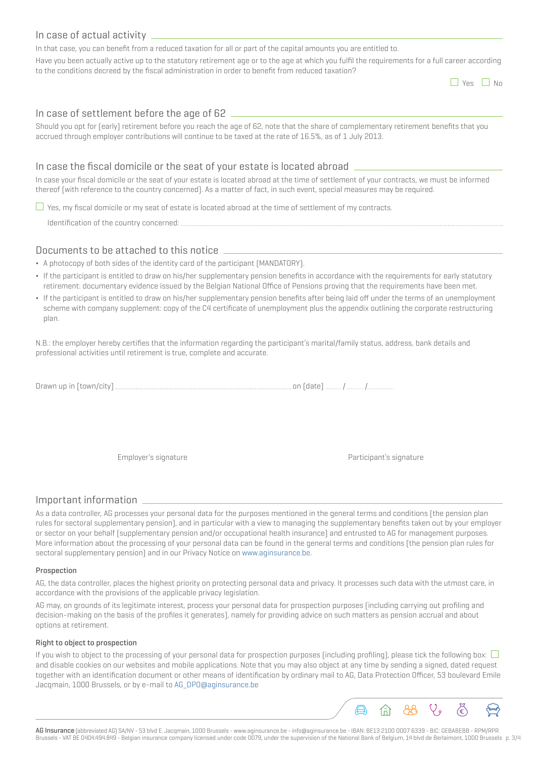### In case of actual activity

In that case, you can benefit from a reduced taxation for all or part of the capital amounts you are entitled to.

Have you been actually active up to the statutory retirement age or to the age at which you fulfil the requirements for a full career according to the conditions decreed by the fiscal administration in order to benefit from reduced taxation?

 $\Box$  Yes  $\Box$  No.

#### In case of settlement before the age of 62

Should you opt for (early) retirement before you reach the age of 62, note that the share of complementary retirement benefits that you accrued through employer contributions will continue to be taxed at the rate of 16.5%, as of 1 July 2013.

### In case the fiscal domicile or the seat of your estate is located abroad

In case your fiscal domicile or the seat of your estate is located abroad at the time of settlement of your contracts, we must be informed thereof (with reference to the country concerned). As a matter of fact, in such event, special measures may be required.

 $\Box$  Yes, my fiscal domicile or my seat of estate is located abroad at the time of settlement of my contracts.

Identification of the country concerned: ......

#### Documents to be attached to this notice

- ¬ A photocopy of both sides of the identity card of the participant (MANDATORY).
- ¬ If the participant is entitled to draw on his/her supplementary pension benefits in accordance with the requirements for early statutory retirement: documentary evidence issued by the Belgian National Office of Pensions proving that the requirements have been met.
- ¬ If the participant is entitled to draw on his/her supplementary pension benefits after being laid off under the terms of an unemployment scheme with company supplement: copy of the C4 certificate of unemployment plus the appendix outlining the corporate restructuring plan.

N.B.: the employer hereby certifies that the information regarding the participant's marital/family status, address, bank details and professional activities until retirement is true, complete and accurate.

| $\overline{\phantom{0}}$<br>TIrawn<br>11MTHIF | - -       |  |  |
|-----------------------------------------------|-----------|--|--|
| DIU VII UP                                    | .<br>---- |  |  |

Employer's signature **Participant's signature** Participant's signature

#### Important information

As a data controller, AG processes your personal data for the purposes mentioned in the general terms and conditions (the pension plan rules for sectoral supplementary pension), and in particular with a view to managing the supplementary benefits taken out by your employer or sector on your behalf (supplementary pension and/or occupational health insurance) and entrusted to AG for management purposes. More information about the processing of your personal data can be found in the general terms and conditions (the pension plan rules for sectoral supplementary pension) and in our Privacy Notice on www.aginsurance.be.

#### Prospection

AG, the data controller, places the highest priority on protecting personal data and privacy. It processes such data with the utmost care, in accordance with the provisions of the applicable privacy legislation.

AG may, on grounds of its legitimate interest, process your personal data for prospection purposes (including carrying out profiling and decision-making on the basis of the profiles it generates), namely for providing advice on such matters as pension accrual and about options at retirement.

#### Right to object to prospection

If you wish to object to the processing of your personal data for prospection purposes (including profiling), please tick the following box:  $\square$ and disable cookies on our websites and mobile applications. Note that you may also object at any time by sending a signed, dated request together with an identification document or other means of identification by ordinary mail to AG, Data Protection Officer, 53 boulevard Emile Jacqmain, 1000 Brussels, or by e-mail to AG\_DPO@aginsurance.be